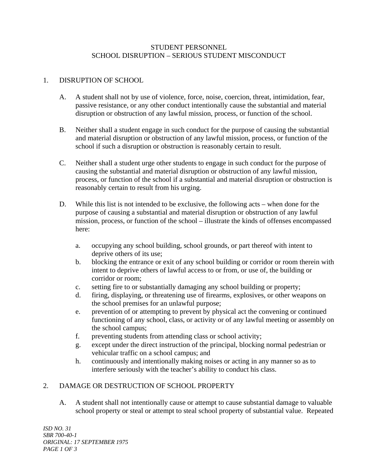#### STUDENT PERSONNEL SCHOOL DISRUPTION – SERIOUS STUDENT MISCONDUCT

#### 1. DISRUPTION OF SCHOOL

- A. A student shall not by use of violence, force, noise, coercion, threat, intimidation, fear, passive resistance, or any other conduct intentionally cause the substantial and material disruption or obstruction of any lawful mission, process, or function of the school.
- B. Neither shall a student engage in such conduct for the purpose of causing the substantial and material disruption or obstruction of any lawful mission, process, or function of the school if such a disruption or obstruction is reasonably certain to result.
- C. Neither shall a student urge other students to engage in such conduct for the purpose of causing the substantial and material disruption or obstruction of any lawful mission, process, or function of the school if a substantial and material disruption or obstruction is reasonably certain to result from his urging.
- D. While this list is not intended to be exclusive, the following acts when done for the purpose of causing a substantial and material disruption or obstruction of any lawful mission, process, or function of the school – illustrate the kinds of offenses encompassed here:
	- a. occupying any school building, school grounds, or part thereof with intent to deprive others of its use;
	- b. blocking the entrance or exit of any school building or corridor or room therein with intent to deprive others of lawful access to or from, or use of, the building or corridor or room;
	- c. setting fire to or substantially damaging any school building or property;
	- d. firing, displaying, or threatening use of firearms, explosives, or other weapons on the school premises for an unlawful purpose;
	- e. prevention of or attempting to prevent by physical act the convening or continued functioning of any school, class, or activity or of any lawful meeting or assembly on the school campus;
	- f. preventing students from attending class or school activity;
	- g. except under the direct instruction of the principal, blocking normal pedestrian or vehicular traffic on a school campus; and
	- h. continuously and intentionally making noises or acting in any manner so as to interfere seriously with the teacher's ability to conduct his class.

# 2. DAMAGE OR DESTRUCTION OF SCHOOL PROPERTY

A. A student shall not intentionally cause or attempt to cause substantial damage to valuable school property or steal or attempt to steal school property of substantial value. Repeated

*ISD NO. 31 SBR 700-40-1 ORIGINAL: 17 SEPTEMBER 1975 PAGE 1 OF 3*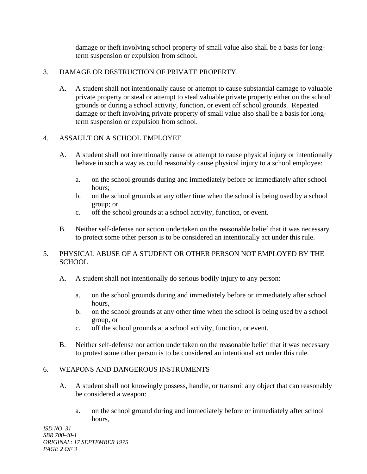damage or theft involving school property of small value also shall be a basis for longterm suspension or expulsion from school.

#### 3. DAMAGE OR DESTRUCTION OF PRIVATE PROPERTY

A. A student shall not intentionally cause or attempt to cause substantial damage to valuable private property or steal or attempt to steal valuable private property either on the school grounds or during a school activity, function, or event off school grounds. Repeated damage or theft involving private property of small value also shall be a basis for longterm suspension or expulsion from school.

## 4. ASSAULT ON A SCHOOL EMPLOYEE

- A. A student shall not intentionally cause or attempt to cause physical injury or intentionally behave in such a way as could reasonably cause physical injury to a school employee:
	- a. on the school grounds during and immediately before or immediately after school hours;
	- b. on the school grounds at any other time when the school is being used by a school group; or
	- c. off the school grounds at a school activity, function, or event.
- B. Neither self-defense nor action undertaken on the reasonable belief that it was necessary to protect some other person is to be considered an intentionally act under this rule.

## 5. PHYSICAL ABUSE OF A STUDENT OR OTHER PERSON NOT EMPLOYED BY THE SCHOOL

- A. A student shall not intentionally do serious bodily injury to any person:
	- a. on the school grounds during and immediately before or immediately after school hours,
	- b. on the school grounds at any other time when the school is being used by a school group, or
	- c. off the school grounds at a school activity, function, or event.
- B. Neither self-defense nor action undertaken on the reasonable belief that it was necessary to protest some other person is to be considered an intentional act under this rule.

#### 6. WEAPONS AND DANGEROUS INSTRUMENTS

- A. A student shall not knowingly possess, handle, or transmit any object that can reasonably be considered a weapon:
	- a. on the school ground during and immediately before or immediately after school hours,